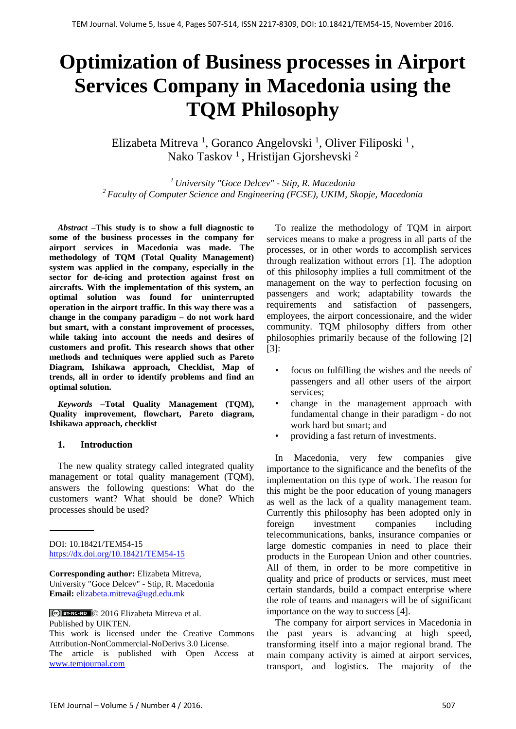# **Optimization of Business processes in Airport Services Company in Macedonia using the TQM Philosophy**

Elizabeta Mitreva<sup>1</sup>, Goranco Angelovski<sup>1</sup>, Oliver Filiposki<sup>1</sup>, Nako Taskov<sup>1</sup>, Hristijan Gjorshevski<sup>2</sup>

*<sup>1</sup> University "Goce Delcev" - Stip, R. Macedonia <sup>2</sup> Faculty of Computer Science and Engineering (FCSE), UKIM, Skopje, Macedonia* 

*Abstract* **–This study is to show a full diagnostic to some of the business processes in the company for airport services in Macedonia was made. The methodology of TQM (Total Quality Management) system was applied in the company, especially in the sector for de-icing and protection against frost on aircrafts. With the implementation of this system, an optimal solution was found for uninterrupted operation in the airport traffic. In this way there was a change in the company paradigm – do not work hard but smart, with a constant improvement of processes, while taking into account the needs and desires of customers and profit. This research shows that other methods and techniques were applied such as Pareto Diagram, Ishikawa approach, Checklist, Map of trends, all in order to identify problems and find an optimal solution.**

*Keywords* **–Total Quality Management (TQM), Quality improvement, flowchart, Pareto diagram, Ishikawa approach, checklist**

#### **1. Introduction**

The new quality strategy called integrated quality management or total quality management (TQM), answers the following questions: What do the customers want? What should be done? Which processes should be used?

DOI: 10.18421/TEM54-15 <https://dx.doi.org/10.18421/TEM54-15>

**Corresponding author:** Elizabeta Mitreva, University "Goce Delcev" - Stip, R. Macedonia **Email:** [elizabeta.mitreva@ugd.edu.mk](file:///C:/Users/nn/AppData/Roaming/Microsoft/Word/elizabeta.mitreva@ugd.edu.mk)

© 2016 Elizabeta Mitreva et al. Published by UIKTEN.

This work is licensed under the Creative Commons Attribution-NonCommercial-NoDerivs 3.0 License.

The article is published with Open Access at [www.temjournal.com](file:///D:/NAS%20CASOPIS%20I%20udruzenje/Brojevi/5-4/www.temjournal.com)

To realize the methodology of TQM in airport services means to make a progress in all parts of the processes, or in other words to accomplish services through realization without errors [1]. The adoption of this philosophy implies a full commitment of the management on the way to perfection focusing on passengers and work; adaptability towards the requirements and satisfaction of passengers, employees, the airport concessionaire, and the wider community. TQM philosophy differs from other philosophies primarily because of the following [2] [3]:

- focus on fulfilling the wishes and the needs of passengers and all other users of the airport services;
- change in the management approach with fundamental change in their paradigm - do not work hard but smart; and
- providing a fast return of investments.

In Macedonia, very few companies give importance to the significance and the benefits of the implementation on this type of work. The reason for this might be the poor education of young managers as well as the lack of a quality management team. Currently this philosophy has been adopted only in foreign investment companies including telecommunications, banks, insurance companies or large domestic companies in need to place their products in the European Union and other countries. All of them, in order to be more competitive in quality and price of products or services, must meet certain standards, build a compact enterprise where the role of teams and managers will be of significant importance on the way to success [4].

The company for airport services in Macedonia in the past years is advancing at high speed, transforming itself into a major regional brand. The main company activity is aimed at airport services, transport, and logistics. The majority of the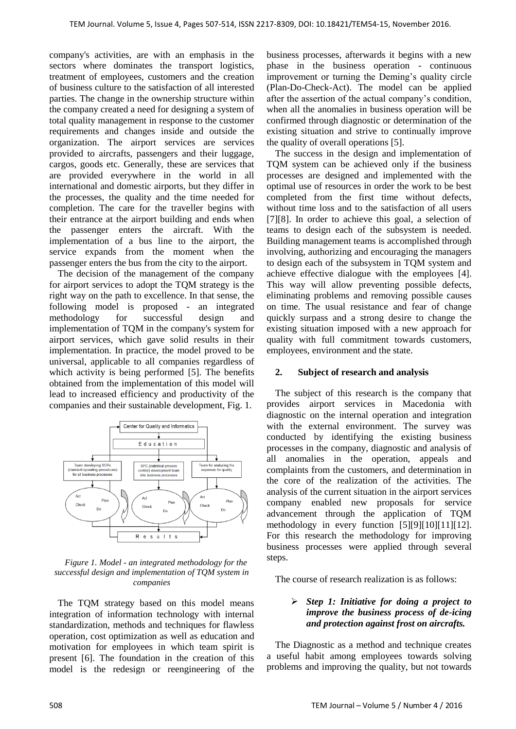company's activities, are with an emphasis in the sectors where dominates the transport logistics, treatment of employees, customers and the creation of business culture to the satisfaction of all interested parties. The change in the ownership structure within the company created a need for designing a system of total quality management in response to the customer requirements and changes inside and outside the organization. The airport services are services provided to aircrafts, passengers and their luggage, cargos, goods etc. Generally, these are services that are provided everywhere in the world in all international and domestic airports, but they differ in the processes, the quality and the time needed for completion. The care for the traveller begins with their entrance at the airport building and ends when the passenger enters the aircraft. With the implementation of a bus line to the airport, the service expands from the moment when the passenger enters the bus from the city to the airport.

The decision of the management of the company for airport services to adopt the TQM strategy is the right way on the path to excellence. In that sense, the following model is proposed - an integrated methodology for successful design and implementation of TQM in the company's system for airport services, which gave solid results in their implementation. In practice, the model proved to be universal, applicable to all companies regardless of which activity is being performed [5]. The benefits obtained from the implementation of this model will lead to increased efficiency and productivity of the companies and their sustainable development, Fig. 1.



*Figure 1. Model - an integrated methodology for the successful design and implementation of TQM system in companies*

The TQM strategy based on this model means integration of information technology with internal standardization, methods and techniques for flawless operation, cost optimization as well as education and motivation for employees in which team spirit is present [6]. The foundation in the creation of this model is the redesign or reengineering of the business processes, afterwards it begins with a new phase in the business operation - continuous improvement or turning the Deming's quality circle (Plan-Do-Check-Act). The model can be applied after the assertion of the actual company's condition, when all the anomalies in business operation will be confirmed through diagnostic or determination of the existing situation and strive to continually improve the quality of overall operations [5].

The success in the design and implementation of TQM system can be achieved only if the business processes are designed and implemented with the optimal use of resources in order the work to be best completed from the first time without defects, without time loss and to the satisfaction of all users [7][8]. In order to achieve this goal, a selection of teams to design each of the subsystem is needed. Building management teams is accomplished through involving, authorizing and encouraging the managers to design each of the subsystem in TQM system and achieve effective dialogue with the employees [4]. This way will allow preventing possible defects, eliminating problems and removing possible causes on time. The usual resistance and fear of change quickly surpass and a strong desire to change the existing situation imposed with a new approach for quality with full commitment towards customers, employees, environment and the state.

#### **2. Subject of research and analysis**

The subject of this research is the company that provides airport services in Macedonia with diagnostic on the internal operation and integration with the external environment. The survey was conducted by identifying the existing business processes in the company, diagnostic and analysis of all anomalies in the operation, appeals and complaints from the customers, and determination in the core of the realization of the activities. The analysis of the current situation in the airport services company enabled new proposals for service advancement through the application of TQM methodology in every function [5][9][10][11][12]. For this research the methodology for improving business processes were applied through several steps.

The course of research realization is as follows:

### *Step 1: Initiative for doing a project to improve the business process of de-icing and protection against frost on aircrafts.*

The Diagnostic as a method and technique creates a useful habit among employees towards solving problems and improving the quality, but not towards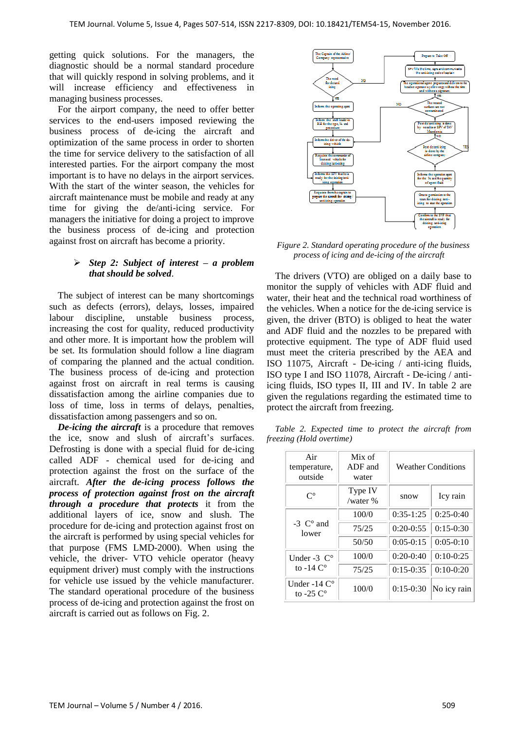getting quick solutions. For the managers, the diagnostic should be a normal standard procedure that will quickly respond in solving problems, and it will increase efficiency and effectiveness in managing business processes.

For the airport company, the need to offer better services to the end-users imposed reviewing the business process of de-icing the aircraft and optimization of the same process in order to shorten the time for service delivery to the satisfaction of all interested parties. For the airport company the most important is to have no delays in the airport services. With the start of the winter season, the vehicles for aircraft maintenance must be mobile and ready at any time for giving the de/anti-icing service. For managers the initiative for doing a project to improve the business process of de-icing and protection against frost on aircraft has become a priority.

## *Step 2: Subject of interest – a problem that should be solved*.

The subject of interest can be many shortcomings such as defects (errors), delays, losses, impaired labour discipline, unstable business process, increasing the cost for quality, reduced productivity and other more. It is important how the problem will be set. Its formulation should follow a line diagram of comparing the planned and the actual condition. The business process of de-icing and protection against frost on aircraft in real terms is causing dissatisfaction among the airline companies due to loss of time, loss in terms of delays, penalties, dissatisfaction among passengers and so on.

*De-icing the aircraft* is a procedure that removes the ice, snow and slush of aircraft's surfaces. Defrosting is done with a special fluid for de-icing called ADF - chemical used for de-icing and protection against the frost on the surface of the aircraft. *After the de-icing process follows the process of protection against frost on the aircraft through a procedure that protects* it from the additional layers of ice, snow and slush. The procedure for de-icing and protection against frost on the aircraft is performed by using special vehicles for that purpose (FMS LMD-2000). When using the vehicle, the driver- VTO vehicle operator (heavy equipment driver) must comply with the instructions for vehicle use issued by the vehicle manufacturer. The standard operational procedure of the business process of de-icing and protection against the frost on aircraft is carried out as follows on Fig. 2.



*Figure 2. Standard operating procedure of the business process of icing and de-icing of the aircraft*

The drivers (VTO) are obliged on a daily base to monitor the supply of vehicles with ADF fluid and water, their heat and the technical road worthiness of the vehicles. When a notice for the de-icing service is given, the driver (BTO) is obliged to heat the water and ADF fluid and the nozzles to be prepared with protective equipment. The type of ADF fluid used must meet the criteria prescribed by the AEA and ISO 11075, Aircraft - De-icing / anti-icing fluids, ISO type I and ISO 11078, Aircraft - De-icing / antiicing fluids, ISO types II, III and IV. In table 2 are given the regulations regarding the estimated time to protect the aircraft from freezing.

*Table 2. Expected time to protect the aircraft from freezing (Hold overtime)*

| Air<br>temperature,<br>outside            | Mix of<br>ADF and<br>water | <b>Weather Conditions</b> |             |  |
|-------------------------------------------|----------------------------|---------------------------|-------------|--|
| $\mathsf{C}^\circ$                        | Type IV<br>/water $%$      | snow                      | Icy rain    |  |
|                                           | 100/0                      | $0:35-1:25$               | $0:25-0:40$ |  |
| $-3$ C° and<br>lower                      | 75/25                      | $0:20-0:55$               | $0:15-0:30$ |  |
|                                           | 50/50                      | $0:05-0:15$               | $0:05-0:10$ |  |
| Under -3 $C^{\circ}$                      | 100/0                      | $0:20-0:40$               | $0:10-0:25$ |  |
| to -14 $C^{\circ}$                        | 75/25                      | $0:15-0:35$               | $0:10-0:20$ |  |
| Under -14 $C^{\circ}$<br>to $-25 \degree$ | 100/0                      | $0:15-0:30$               | No icy rain |  |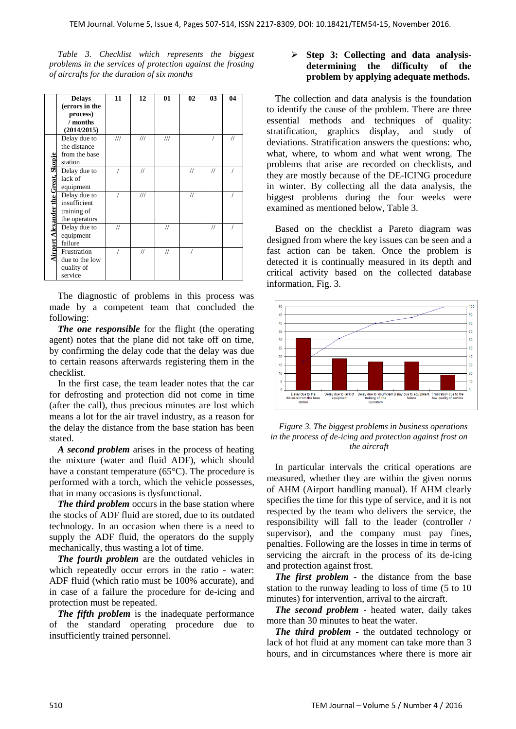*Table 3. Checklist which represents the biggest problems in the services of protection against the frosting of aircrafts for the duration of six months*

|                                     | <b>Delays</b>  | 11                      | 12                      | 01                      | 02            | 03                | 04 |
|-------------------------------------|----------------|-------------------------|-------------------------|-------------------------|---------------|-------------------|----|
|                                     | (errors in the |                         |                         |                         |               |                   |    |
|                                     | process)       |                         |                         |                         |               |                   |    |
|                                     | / months       |                         |                         |                         |               |                   |    |
|                                     | (2014/2015)    |                         |                         |                         |               |                   |    |
|                                     | Delay due to   | $^{\prime\prime\prime}$ | $^{\prime\prime\prime}$ | $^{\prime\prime\prime}$ |               |                   | 11 |
|                                     | the distance   |                         |                         |                         |               |                   |    |
|                                     | from the base  |                         |                         |                         |               |                   |    |
|                                     | station        |                         |                         |                         |               |                   |    |
|                                     | Delay due to   |                         | 11                      |                         | 11            | 11                |    |
|                                     | lack of        |                         |                         |                         |               |                   |    |
|                                     | equipment      |                         |                         |                         |               |                   |    |
|                                     | Delay due to   |                         | $^{\prime\prime\prime}$ |                         | $\frac{1}{2}$ |                   |    |
|                                     | insufficient   |                         |                         |                         |               |                   |    |
|                                     | training of    |                         |                         |                         |               |                   |    |
|                                     | the operators  |                         |                         |                         |               |                   |    |
|                                     | Delay due to   | 11                      |                         | $\frac{1}{2}$           |               | $^{\prime\prime}$ |    |
|                                     | equipment      |                         |                         |                         |               |                   |    |
|                                     | failure        |                         |                         |                         |               |                   |    |
| Airport Alexander the Great, Skopje | Frustration    |                         | 11                      | $\frac{1}{2}$           |               |                   |    |
|                                     | due to the low |                         |                         |                         |               |                   |    |
|                                     | quality of     |                         |                         |                         |               |                   |    |
|                                     | service        |                         |                         |                         |               |                   |    |

The diagnostic of problems in this process was made by a competent team that concluded the following:

*The one responsible* for the flight (the operating agent) notes that the plane did not take off on time, by confirming the delay code that the delay was due to certain reasons afterwards registering them in the checklist.

In the first case, the team leader notes that the car for defrosting and protection did not come in time (after the call), thus precious minutes are lost which means a lot for the air travel industry, as a reason for the delay the distance from the base station has been stated.

*A second problem* arises in the process of heating the mixture (water and fluid ADF), which should have a constant temperature (65°C). The procedure is performed with a torch, which the vehicle possesses, that in many occasions is dysfunctional.

*The third problem* occurs in the base station where the stocks of ADF fluid are stored, due to its outdated technology. In an occasion when there is a need to supply the ADF fluid, the operators do the supply mechanically, thus wasting a lot of time.

*The fourth problem* are the outdated vehicles in which repeatedly occur errors in the ratio - water: ADF fluid (which ratio must be 100% accurate), and in case of a failure the procedure for de-icing and protection must be repeated.

*The fifth problem* is the inadequate performance of the standard operating procedure due to insufficiently trained personnel.

## **Step 3: Collecting and data analysisdetermining the difficulty of the problem by applying adequate methods.**

The collection and data analysis is the foundation to identify the cause of the problem. There are three essential methods and techniques of quality: stratification, graphics display, and study of deviations. Stratification answers the questions: who, what, where, to whom and what went wrong. The problems that arise are recorded on checklists, and they are mostly because of the DE-ICING procedure in winter. By collecting all the data analysis, the biggest problems during the four weeks were examined as mentioned below, Table 3.

Based on the checklist a Pareto diagram was designed from where the key issues can be seen and a fast action can be taken. Once the problem is detected it is continually measured in its depth and critical activity based on the collected database information, Fig. 3.



*Figure 3. The biggest problems in business operations in the process of de-icing and protection against frost on the aircraft*

In particular intervals the critical operations are measured, whether they are within the given norms of AHM (Airport handling manual). If AHM clearly specifies the time for this type of service, and it is not respected by the team who delivers the service, the responsibility will fall to the leader (controller / supervisor), and the company must pay fines, penalties. Following are the losses in time in terms of servicing the aircraft in the process of its de-icing and protection against frost.

*The first problem* - the distance from the base station to the runway leading to loss of time (5 to 10 minutes) for intervention, arrival to the aircraft.

*The second problem* - heated water, daily takes more than 30 minutes to heat the water.

*The third problem* - the outdated technology or lack of hot fluid at any moment can take more than 3 hours, and in circumstances where there is more air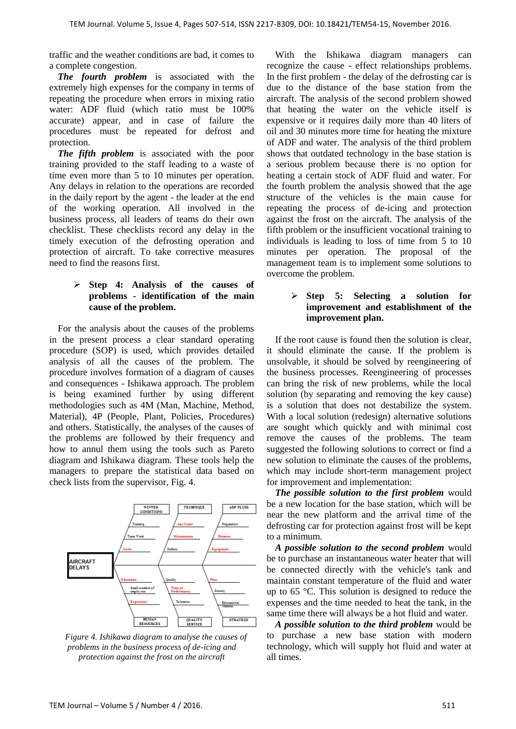traffic and the weather conditions are bad, it comes to a complete congestion.

*The fourth problem* is associated with the extremely high expenses for the company in terms of repeating the procedure when errors in mixing ratio water: ADF fluid (which ratio must be 100% accurate) appear, and in case of failure the procedures must be repeated for defrost and protection.

*The fifth problem* is associated with the poor training provided to the staff leading to a waste of time even more than 5 to 10 minutes per operation. Any delays in relation to the operations are recorded in the daily report by the agent - the leader at the end of the working operation. All involved in the business process, all leaders of teams do their own checklist. These checklists record any delay in the timely execution of the defrosting operation and protection of aircraft. To take corrective measures need to find the reasons first.

## **Step 4: Analysis of the causes of problems - identification of the main cause of the problem.**

For the analysis about the causes of the problems in the present process a clear standard operating procedure (SOP) is used, which provides detailed analysis of all the causes of the problem. The procedure involves formation of a diagram of causes and consequences - Ishikawa approach. The problem is being examined further by using different methodologies such as 4M (Man, Machine, Method, Material), 4P (People, Plant, Policies, Procedures) and others. Statistically, the analyses of the causes of the problems are followed by their frequency and how to annul them using the tools such as Pareto diagram and Ishikawa diagram. These tools help the managers to prepare the statistical data based on check lists from the supervisor, Fig. 4.



*Figure 4. Ishikawa diagram to analyse the causes of problems in the business process of de-icing and protection against the frost on the aircraft*

With the Ishikawa diagram managers can recognize the cause - effect relationships problems. In the first problem - the delay of the defrosting car is due to the distance of the base station from the aircraft. The analysis of the second problem showed that heating the water on the vehicle itself is expensive or it requires daily more than 40 liters of oil and 30 minutes more time for heating the mixture of ADF and water. The analysis of the third problem shows that outdated technology in the base station is a serious problem because there is no option for heating a certain stock of ADF fluid and water. For the fourth problem the analysis showed that the age structure of the vehicles is the main cause for repeating the process of de-icing and protection against the frost on the aircraft. The analysis of the fifth problem or the insufficient vocational training to individuals is leading to loss of time from 5 to 10 minutes per operation. The proposal of the management team is to implement some solutions to overcome the problem.

## **Step 5: Selecting a solution for improvement and establishment of the improvement plan.**

If the root cause is found then the solution is clear, it should eliminate the cause. If the problem is unsolvable, it should be solved by reengineering of the business processes. Reengineering of processes can bring the risk of new problems, while the local solution (by separating and removing the key cause) is a solution that does not destabilize the system. With a local solution (redesign) alternative solutions are sought which quickly and with minimal cost remove the causes of the problems. The team suggested the following solutions to correct or find a new solution to eliminate the causes of the problems, which may include short-term management project for improvement and implementation:

*The possible solution to the first problem* would be a new location for the base station, which will be near the new platform and the arrival time of the defrosting car for protection against frost will be kept to a minimum.

*A possible solution to the second problem* would be to purchase an instantaneous water heater that will be connected directly with the vehicle's tank and maintain constant temperature of the fluid and water up to 65 °C. This solution is designed to reduce the expenses and the time needed to heat the tank, in the same time there will always be a hot fluid and water.

*A possible solution to the third problem* would be to purchase a new base station with modern technology, which will supply hot fluid and water at all times.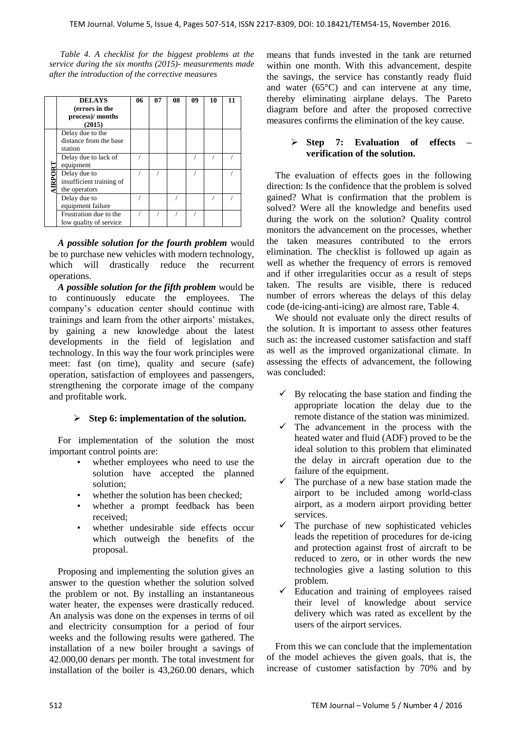*Table 4. A checklist for the biggest problems at the service during the six months (2015)- measurements made after the introduction of the corrective measures*

|       | <b>DELAYS</b><br>(errors in the<br>process)/ months<br>(2015) | 06 | 07 | 08 | 09 | 10 | 11 |
|-------|---------------------------------------------------------------|----|----|----|----|----|----|
| RPORT | Delay due to the<br>distance from the base<br>station         |    |    |    |    |    |    |
|       | Delay due to lack of<br>equipment                             |    |    |    |    |    |    |
|       | Delay due to<br>insufficient training of<br>the operators     |    |    |    |    |    |    |
|       | Delay due to<br>equipment failure                             |    |    |    |    |    |    |
|       | Frustration due to the<br>low quality of service              |    |    |    |    |    |    |

*A possible solution for the fourth problem* would be to purchase new vehicles with modern technology, which will drastically reduce the recurrent operations.

*A possible solution for the fifth problem* would be to continuously educate the employees. The company's education center should continue with trainings and learn from the other airports' mistakes, by gaining a new knowledge about the latest developments in the field of legislation and technology. In this way the four work principles were meet: fast (on time), quality and secure (safe) operation, satisfaction of employees and passengers, strengthening the corporate image of the company and profitable work.

# **Step 6: implementation of the solution.**

For implementation of the solution the most important control points are:

- whether employees who need to use the solution have accepted the planned solution;
- whether the solution has been checked:
- whether a prompt feedback has been received;
- whether undesirable side effects occur which outweigh the benefits of the proposal.

Proposing and implementing the solution gives an answer to the question whether the solution solved the problem or not. By installing an instantaneous water heater, the expenses were drastically reduced. An analysis was done on the expenses in terms of oil and electricity consumption for a period of four weeks and the following results were gathered. The installation of a new boiler brought a savings of 42.000,00 denars per month. The total investment for installation of the boiler is 43,260.00 denars, which means that funds invested in the tank are returned within one month. With this advancement, despite the savings, the service has constantly ready fluid and water (65°C) and can intervene at any time, thereby eliminating airplane delays. The Pareto diagram before and after the proposed corrective measures confirms the elimination of the key cause.

## **Step 7: Evaluation of effects – verification of the solution.**

The evaluation of effects goes in the following direction: Is the confidence that the problem is solved gained? What is confirmation that the problem is solved? Were all the knowledge and benefits used during the work on the solution? Quality control monitors the advancement on the processes, whether the taken measures contributed to the errors elimination. The checklist is followed up again as well as whether the frequency of errors is removed and if other irregularities occur as a result of steps taken. The results are visible, there is reduced number of errors whereas the delays of this delay code (de-icing-anti-icing) are almost rare, Table 4.

We should not evaluate only the direct results of the solution. It is important to assess other features such as: the increased customer satisfaction and staff as well as the improved organizational climate. In assessing the effects of advancement, the following was concluded:

- By relocating the base station and finding the appropriate location the delay due to the remote distance of the station was minimized.
- $\checkmark$  The advancement in the process with the heated water and fluid (ADF) proved to be the ideal solution to this problem that eliminated the delay in aircraft operation due to the failure of the equipment.
- The purchase of a new base station made the airport to be included among world-class airport, as a modern airport providing better services.
- $\checkmark$  The purchase of new sophisticated vehicles leads the repetition of procedures for de-icing and protection against frost of aircraft to be reduced to zero, or in other words the new technologies give a lasting solution to this problem.
- Education and training of employees raised their level of knowledge about service delivery which was rated as excellent by the users of the airport services.

From this we can conclude that the implementation of the model achieves the given goals, that is, the increase of customer satisfaction by 70% and by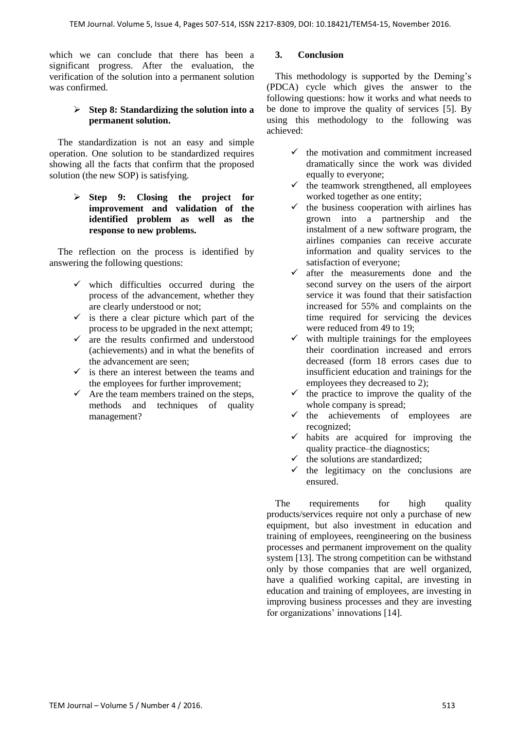which we can conclude that there has been a significant progress. After the evaluation, the verification of the solution into a permanent solution was confirmed.

## **Step 8: Standardizing the solution into a permanent solution.**

The standardization is not an easy and simple operation. One solution to be standardized requires showing all the facts that confirm that the proposed solution (the new SOP) is satisfying.

> **Step 9: Closing the project for improvement and validation of the identified problem as well as the response to new problems.**

The reflection on the process is identified by answering the following questions:

- $\checkmark$  which difficulties occurred during the process of the advancement, whether they are clearly understood or not;
- $\checkmark$  is there a clear picture which part of the process to be upgraded in the next attempt;
- $\checkmark$  are the results confirmed and understood (achievements) and in what the benefits of the advancement are seen;
- $\checkmark$  is there an interest between the teams and the employees for further improvement;
- $\checkmark$  Are the team members trained on the steps, methods and techniques of quality management?

## **3. Conclusion**

This methodology is supported by the Deming's (PDCA) cycle which gives the answer to the following questions: how it works and what needs to be done to improve the quality of services [5]. By using this methodology to the following was achieved:

- $\checkmark$  the motivation and commitment increased dramatically since the work was divided equally to everyone;
- $\checkmark$  the teamwork strengthened, all employees worked together as one entity;
- $\checkmark$  the business cooperation with airlines has grown into a partnership and the instalment of a new software program, the airlines companies can receive accurate information and quality services to the satisfaction of everyone;
- $\checkmark$  after the measurements done and the second survey on the users of the airport service it was found that their satisfaction increased for 55% and complaints on the time required for servicing the devices were reduced from 49 to 19;
- with multiple trainings for the employees their coordination increased and errors decreased (form 18 errors cases due to insufficient education and trainings for the employees they decreased to 2);
- $\checkmark$  the practice to improve the quality of the whole company is spread:
- $\checkmark$  the achievements of employees are recognized;
- $\checkmark$  habits are acquired for improving the quality practice–the diagnostics;
- $\checkmark$  the solutions are standardized;
- $\checkmark$  the legitimacy on the conclusions are ensured.

The requirements for high quality products/services require not only a purchase of new equipment, but also investment in education and training of employees, reengineering on the business processes and permanent improvement on the quality system [13]. The strong competition can be withstand only by those companies that are well organized, have a qualified working capital, are investing in education and training of employees, are investing in improving business processes and they are investing for organizations' innovations [14].